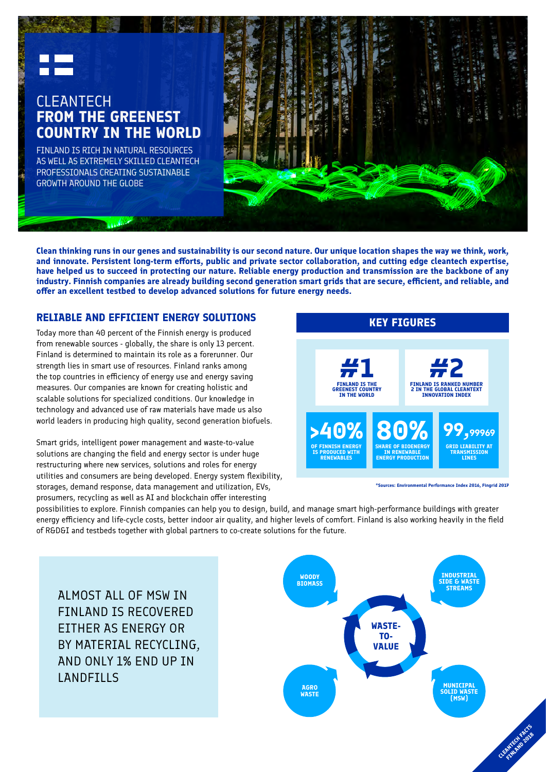

# CLEANTECH **FROM THE GREENEST COUNTRY IN THE WORLD**

FINLAND IS RICH IN NATURAL RESOURCES AS WELL AS EXTREMELY SKILLED CLEANTECH PROFESSIONALS CREATING SUSTAINABLE GROWTH AROUND THE GLOBE



**Clean thinking runs in our genes and sustainability is our second nature. Our unique location shapes the way we think, work, and innovate. Persistent long-term efforts, public and private sector collaboration, and cutting edge cleantech expertise, have helped us to succeed in protecting our nature. Reliable energy production and transmission are the backbone of any industry. Finnish companies are already building second generation smart grids that are secure, efficient, and reliable, and offer an excellent testbed to develop advanced solutions for future energy needs.** 

## **RELIABLE AND EFFICIENT ENERGY SOLUTIONS**

Today more than 40 percent of the Finnish energy is produced from renewable sources - globally, the share is only 13 percent. Finland is determined to maintain its role as a forerunner. Our strength lies in smart use of resources. Finland ranks among the top countries in efficiency of energy use and energy saving measures. Our companies are known for creating holistic and scalable solutions for specialized conditions. Our knowledge in technology and advanced use of raw materials have made us also world leaders in producing high quality, second generation biofuels.

Smart grids, intelligent power management and waste-to-value solutions are changing the field and energy sector is under huge restructuring where new services, solutions and roles for energy utilities and consumers are being developed. Energy system flexibility, storages, demand response, data management and utilization, EVs, prosumers, recycling as well as AI and blockchain offer interesting



**\*Sources: Environmental Performance Index 2016, Fingrid 2017**

possibilities to explore. Finnish companies can help you to design, build, and manage smart high-performance buildings with greater energy efficiency and life-cycle costs, better indoor air quality, and higher levels of comfort. Finland is also working heavily in the field of R&D&I and testbeds together with global partners to co-create solutions for the future.

ALMOST ALL OF MSW IN FINLAND IS RECOVERED EITHER AS ENERGY OR BY MATERIAL RECYCLING, AND ONLY 1% END UP IN LANDFILLS